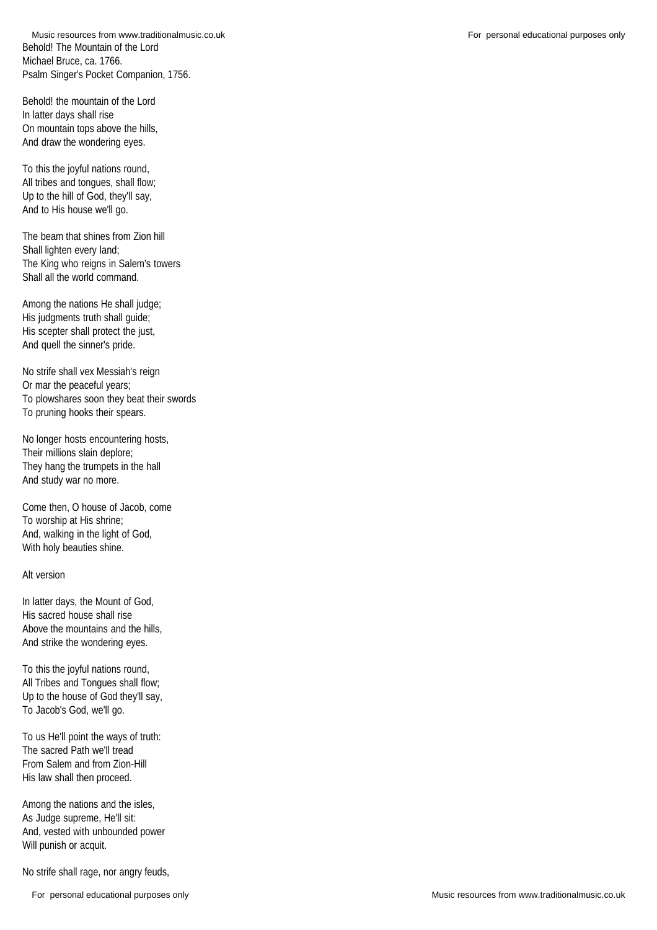Behold! The Mountain of the Lord Michael Bruce, ca. 1766. Psalm Singer's Pocket Companion, 1756. Music resources from www.traditionalmusic.co.uk **For personal educational purposes only** For personal educational purposes only

Behold! the mountain of the Lord In latter days shall rise On mountain tops above the hills, And draw the wondering eyes.

To this the joyful nations round, All tribes and tongues, shall flow; Up to the hill of God, they'll say, And to His house we'll go.

The beam that shines from Zion hill Shall lighten every land; The King who reigns in Salem's towers Shall all the world command.

Among the nations He shall judge; His judgments truth shall guide; His scepter shall protect the just, And quell the sinner's pride.

No strife shall vex Messiah's reign Or mar the peaceful years; To plowshares soon they beat their swords To pruning hooks their spears.

No longer hosts encountering hosts, Their millions slain deplore; They hang the trumpets in the hall And study war no more.

Come then, O house of Jacob, come To worship at His shrine; And, walking in the light of God, With holy beauties shine.

## Alt version

In latter days, the Mount of God, His sacred house shall rise Above the mountains and the hills, And strike the wondering eyes.

To this the joyful nations round, All Tribes and Tongues shall flow; Up to the house of God they'll say, To Jacob's God, we'll go.

To us He'll point the ways of truth: The sacred Path we'll tread From Salem and from Zion-Hill His law shall then proceed.

Among the nations and the isles, As Judge supreme, He'll sit: And, vested with unbounded power Will punish or acquit.

No strife shall rage, nor angry feuds,